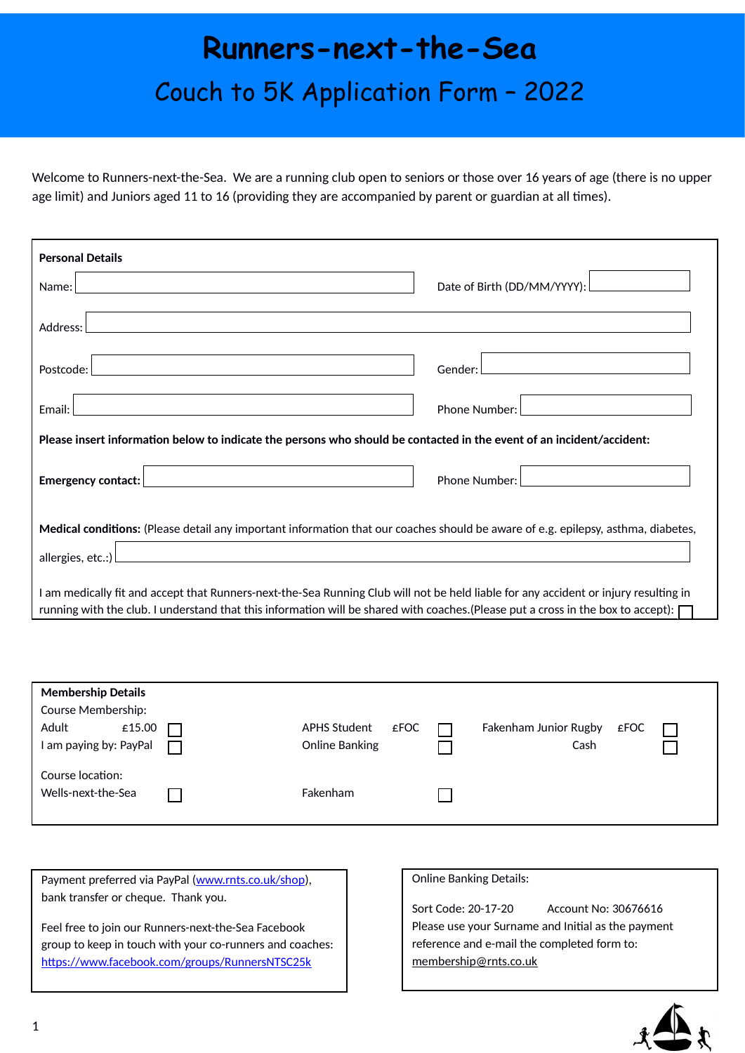# **Runners-next-the-Sea** Couch to 5K Application Form – 2022

Welcome to Runners-next-the-Sea. We are a running club open to seniors or those over 16 years of age (there is no upper age limit) and Juniors aged 11 to 16 (providing they are accompanied by parent or guardian at all times).

| <b>Personal Details</b>                                                                                                                                                                                                                                                     |                             |  |  |  |  |
|-----------------------------------------------------------------------------------------------------------------------------------------------------------------------------------------------------------------------------------------------------------------------------|-----------------------------|--|--|--|--|
| Name:                                                                                                                                                                                                                                                                       | Date of Birth (DD/MM/YYYY): |  |  |  |  |
| Address:                                                                                                                                                                                                                                                                    |                             |  |  |  |  |
| Postcode:                                                                                                                                                                                                                                                                   | Gender:                     |  |  |  |  |
| Email:                                                                                                                                                                                                                                                                      | Phone Number:               |  |  |  |  |
| Please insert information below to indicate the persons who should be contacted in the event of an incident/accident:                                                                                                                                                       |                             |  |  |  |  |
| <b>Emergency contact:</b>                                                                                                                                                                                                                                                   | Phone Number:               |  |  |  |  |
| Medical conditions: (Please detail any important information that our coaches should be aware of e.g. epilepsy, asthma, diabetes,                                                                                                                                           |                             |  |  |  |  |
| allergies, etc.:)                                                                                                                                                                                                                                                           |                             |  |  |  |  |
| I am medically fit and accept that Runners-next-the-Sea Running Club will not be held liable for any accident or injury resulting in<br>running with the club. I understand that this information will be shared with coaches. (Please put a cross in the box to accept): [ |                             |  |  |  |  |

| <b>Membership Details</b> |                             |                       |      |  |
|---------------------------|-----------------------------|-----------------------|------|--|
| Course Membership:        |                             |                       |      |  |
| Adult<br>£15.00           | <b>APHS Student</b><br>£FOC | Fakenham Junior Rugby | £FOC |  |
| I am paying by: PayPal    | Online Banking              | Cash                  |      |  |
| Course location:          |                             |                       |      |  |
| Wells-next-the-Sea        | Fakenham                    |                       |      |  |
|                           |                             |                       |      |  |

Payment preferred via PayPal ([www.rnts.co.uk/shop\)](http://www.rnts.co.uk/shop), bank transfer or cheque. Thank you.

Feel free to join our Runners-next-the-Sea Facebook group to keep in touch with your co-runners and coaches: <https://www.facebook.com/groups/RunnersNTSC25k>

### Online Banking Details:

Sort Code: 20-17-20 Account No: 30676616 Please use your Surname and Initial as the payment reference and e-mail the completed form to: [membership@rnts.co.uk](mailto:membership@rnts.co.uk?subject=RntS%20Membership%20Application)

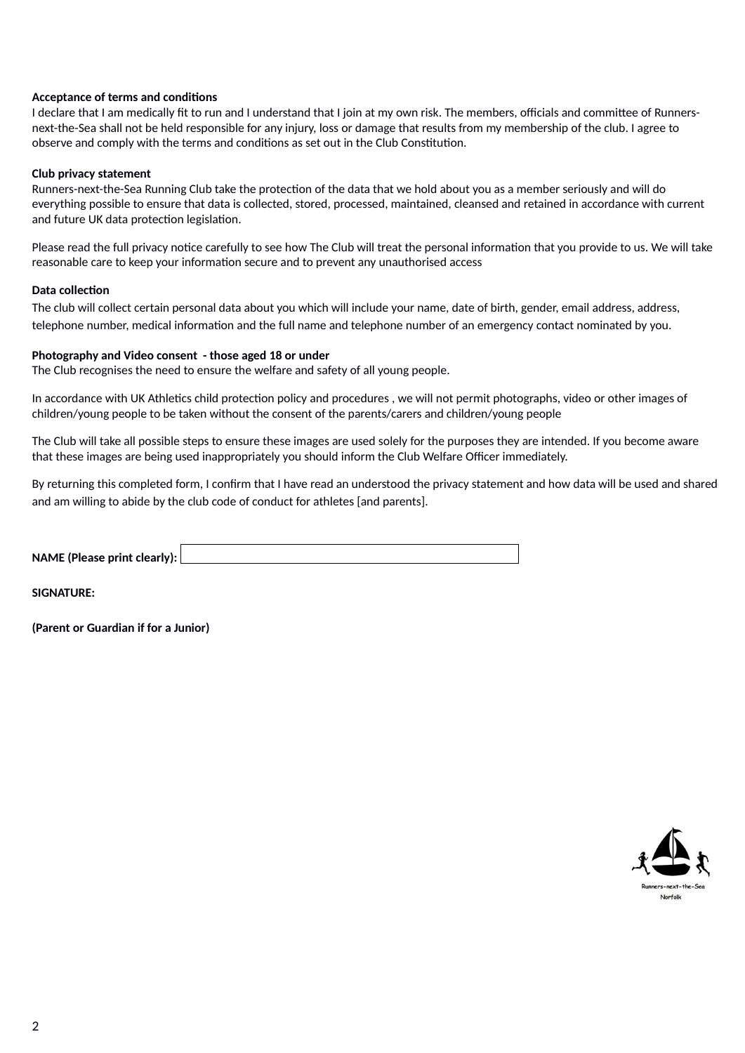# **Acceptance of terms and conditions**

I declare that I am medically fit to run and I understand that I join at my own risk. The members, officials and committee of Runnersnext-the-Sea shall not be held responsible for any injury, loss or damage that results from my membership of the club. I agree to observe and comply with the terms and conditions as set out in the Club Constitution.

# **Club privacy statement**

Runners-next-the-Sea Running Club take the protection of the data that we hold about you as a member seriously and will do everything possible to ensure that data is collected, stored, processed, maintained, cleansed and retained in accordance with current and future UK data protection legislation.

Please read the full privacy notice carefully to see how The Club will treat the personal information that you provide to us. We will take reasonable care to keep your information secure and to prevent any unauthorised access

# **Data collection**

The club will collect certain personal data about you which will include your name, date of birth, gender, email address, address, telephone number, medical information and the full name and telephone number of an emergency contact nominated by you.

# **Photography and Video consent - those aged 18 or under**

The Club recognises the need to ensure the welfare and safety of all young people.

In accordance with UK Athletics child protection policy and procedures , we will not permit photographs, video or other images of children/young people to be taken without the consent of the parents/carers and children/young people

The Club will take all possible steps to ensure these images are used solely for the purposes they are intended. If you become aware that these images are being used inappropriately you should inform the Club Welfare Officer immediately.

By returning this completed form, I confirm that I have read an understood the privacy statement and how data will be used and shared and am willing to abide by the club code of conduct for athletes [and parents].

**NAME (Please print clearly):** 

**SIGNATURE:**

**(Parent or Guardian if for a Junior)**